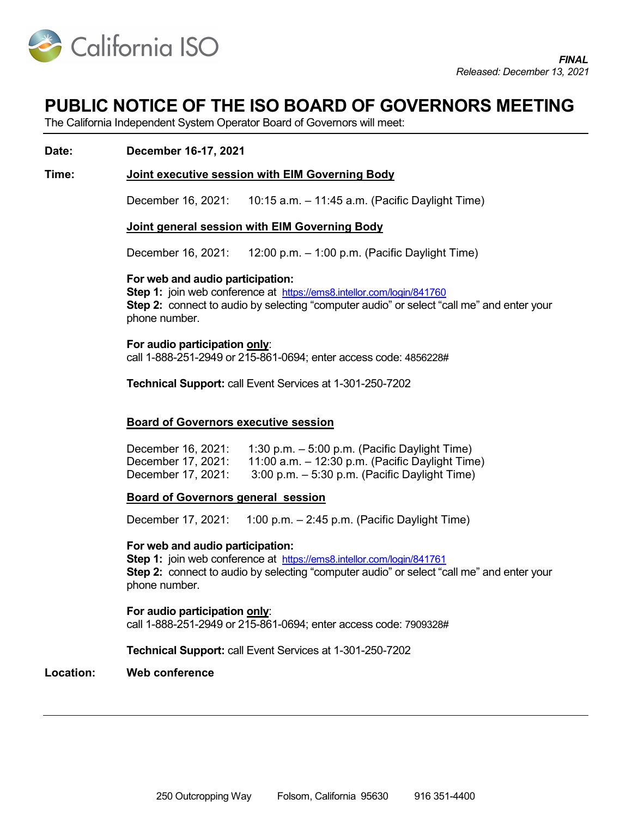

# PUBLIC NOTICE OF THE ISO BOARD OF GOVERNORS MEETING

The California Independent System Operator Board of Governors will meet:

### Date: December 16-17, 2021

### Time: Joint executive session with EIM Governing Body

December 16, 2021: 10:15 a.m. – 11:45 a.m. (Pacific Daylight Time)

#### Joint general session with EIM Governing Body

December 16, 2021: 12:00 p.m. – 1:00 p.m. (Pacific Daylight Time)

#### For web and audio participation:

Step 1: join web conference at https://ems8.intellor.com/login/841760 Step 2: connect to audio by selecting "computer audio" or select "call me" and enter your phone number.

#### For audio participation only:

call 1-888-251-2949 or 215-861-0694; enter access code: 4856228#

Technical Support: call Event Services at 1-301-250-7202

### Board of Governors executive session

December 16, 2021: 1:30 p.m. – 5:00 p.m. (Pacific Daylight Time) December 17, 2021: 11:00 a.m. – 12:30 p.m. (Pacific Daylight Time) December 17, 2021: 3:00 p.m. – 5:30 p.m. (Pacific Daylight Time)

### Board of Governors general session

December 17, 2021: 1:00 p.m. – 2:45 p.m. (Pacific Daylight Time)

#### For web and audio participation:

Step 1: join web conference at https://ems8.intellor.com/login/841761 Step 2: connect to audio by selecting "computer audio" or select "call me" and enter your phone number.

For audio participation only: call 1-888-251-2949 or 215-861-0694; enter access code: 7909328#

Technical Support: call Event Services at 1-301-250-7202

#### Location: Web conference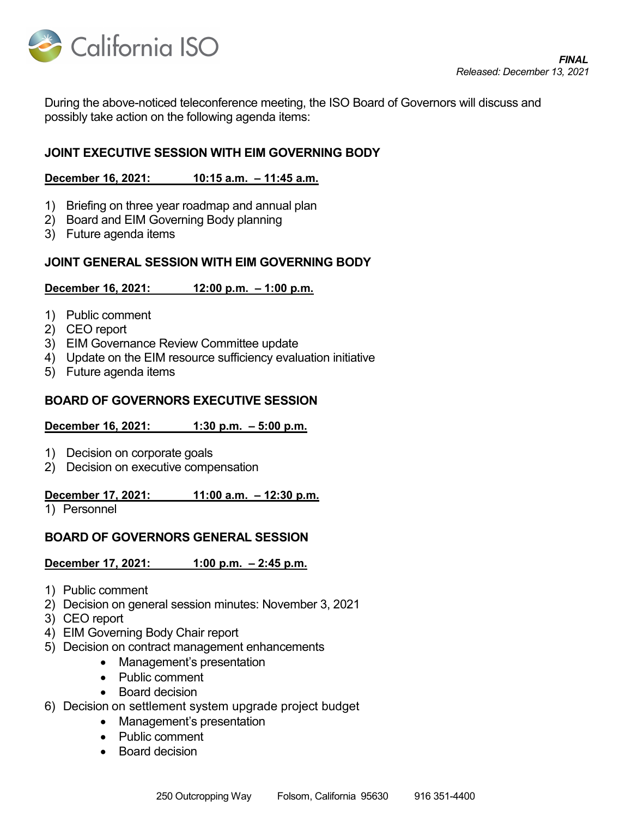

During the above-noticed teleconference meeting, the ISO Board of Governors will discuss and possibly take action on the following agenda items:

## JOINT EXECUTIVE SESSION WITH EIM GOVERNING BODY

### December 16, 2021: 10:15 a.m. – 11:45 a.m.

- 1) Briefing on three year roadmap and annual plan
- 2) Board and EIM Governing Body planning
- 3) Future agenda items

### JOINT GENERAL SESSION WITH EIM GOVERNING BODY

### December 16, 2021: 12:00 p.m. – 1:00 p.m.

- 1) Public comment
- 2) CEO report
- 3) EIM Governance Review Committee update
- 4) Update on the EIM resource sufficiency evaluation initiative
- 5) Future agenda items

### BOARD OF GOVERNORS EXECUTIVE SESSION

### December 16, 2021: 1:30 p.m. – 5:00 p.m.

- 1) Decision on corporate goals
- 2) Decision on executive compensation

### December 17, 2021: 11:00 a.m. - 12:30 p.m.

1) Personnel

### BOARD OF GOVERNORS GENERAL SESSION

### December 17, 2021: 1:00 p.m. – 2:45 p.m.

- 1) Public comment
- 2) Decision on general session minutes: November 3, 2021
- 3) CEO report
- 4) EIM Governing Body Chair report
- 5) Decision on contract management enhancements
	- Management's presentation
	- Public comment
	- Board decision
- 6) Decision on settlement system upgrade project budget
	- Management's presentation
	- Public comment
	- Board decision